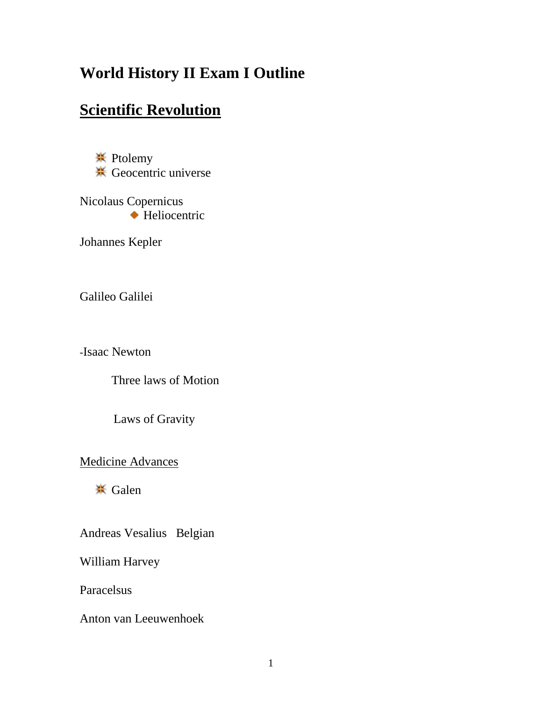## **World History II Exam I Outline**

## **Scientific Revolution**

**<del></del>** Ptolemy <del> $\frac{1}{2}$  Geocentric universe</del>

Nicolaus Copernicus ◆ Heliocentric

Johannes Kepler

Galileo Galilei

-Isaac Newton

Three laws of Motion

Laws of Gravity

Medicine Advances

**<del></del>** Galen

Andreas Vesalius Belgian

William Harvey

Paracelsus

Anton van Leeuwenhoek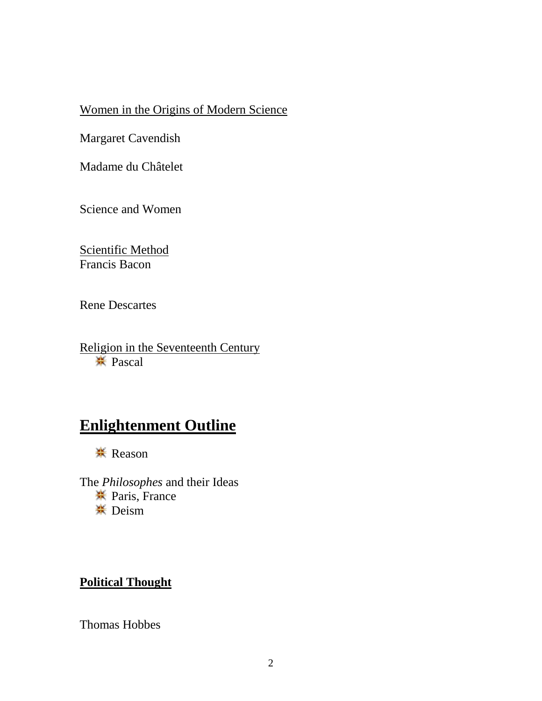#### Women in the Origins of Modern Science

Margaret Cavendish

Madame du Châtelet

Science and Women

Scientific Method Francis Bacon

Rene Descartes

Religion in the Seventeenth Century Pascal

## **Enlightenment Outline**

**<del></del>** Reason

The *Philosophes* and their Ideas Paris, France **<del></del>** Deism

### **Political Thought**

Thomas Hobbes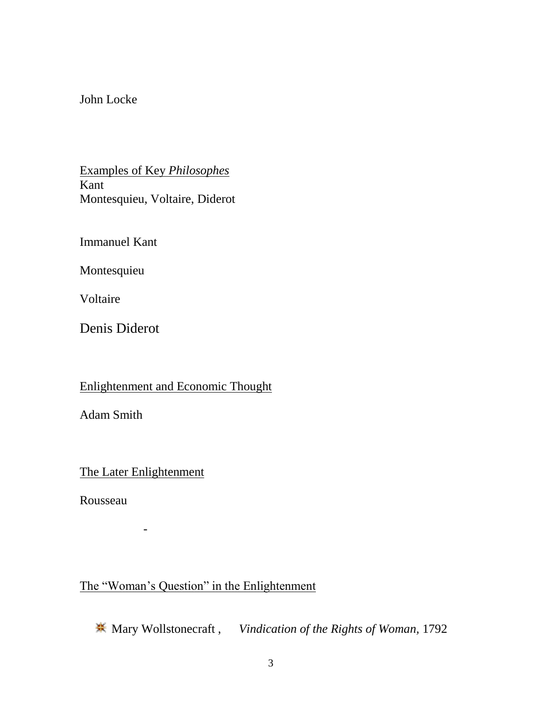#### John Locke

#### Examples of Key *Philosophes* Kant Montesquieu, Voltaire, Diderot

Immanuel Kant

Montesquieu

Voltaire

Denis Diderot

Enlightenment and Economic Thought

Adam Smith

The Later Enlightenment

-

Rousseau

### The "Woman's Question" in the Enlightenment

Mary Wollstonecraft , *Vindication of the Rights of Woman,* 1792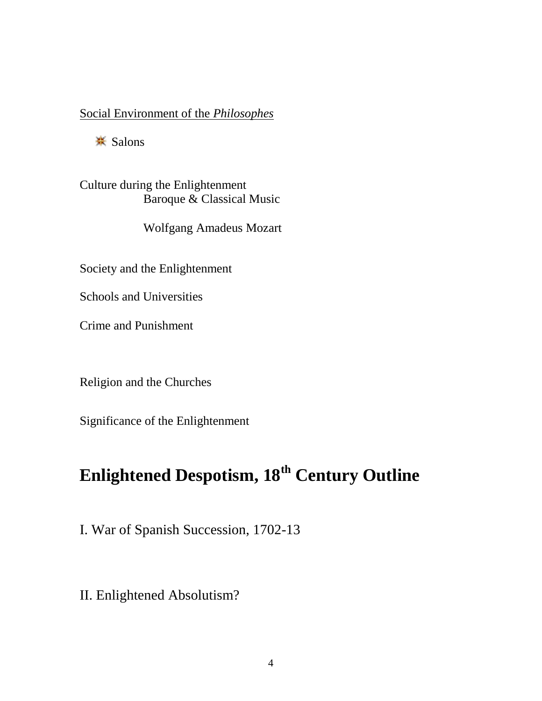#### Social Environment of the *Philosophes*

 $\frac{4}{10}$  Salons

Culture during the Enlightenment Baroque & Classical Music

Wolfgang Amadeus Mozart

Society and the Enlightenment

Schools and Universities

Crime and Punishment

Religion and the Churches

Significance of the Enlightenment

# **Enlightened Despotism, 18th Century Outline**

I. War of Spanish Succession, 1702-13

II. Enlightened Absolutism?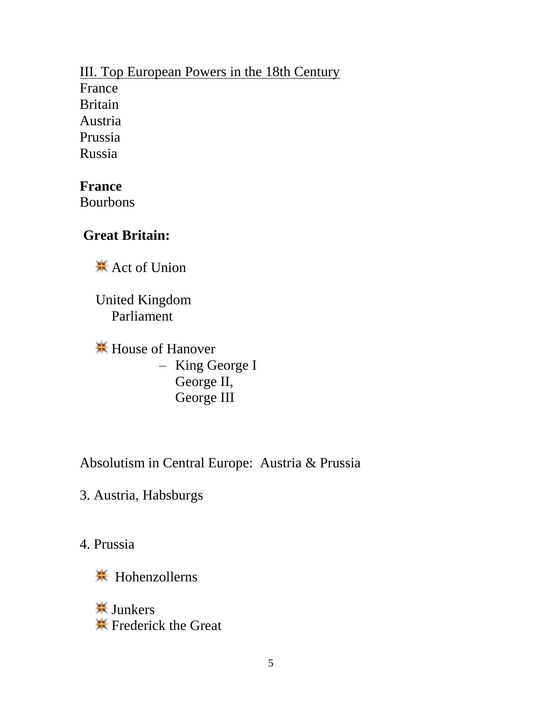### III. Top European Powers in the 18th Century France Britain Austria Prussia Russia

**France**

Bourbons

### **Great Britain:**

\*\* Act of Union

United Kingdom Parliament

 $\frac{H}{1}$  **House of Hanover** – King George I George II, George III

Absolutism in Central Europe: Austria & Prussia

3. Austria, Habsburgs

4. Prussia

Hohenzollerns

**<del>☀</del>** Junkers **K**\* Frederick the Great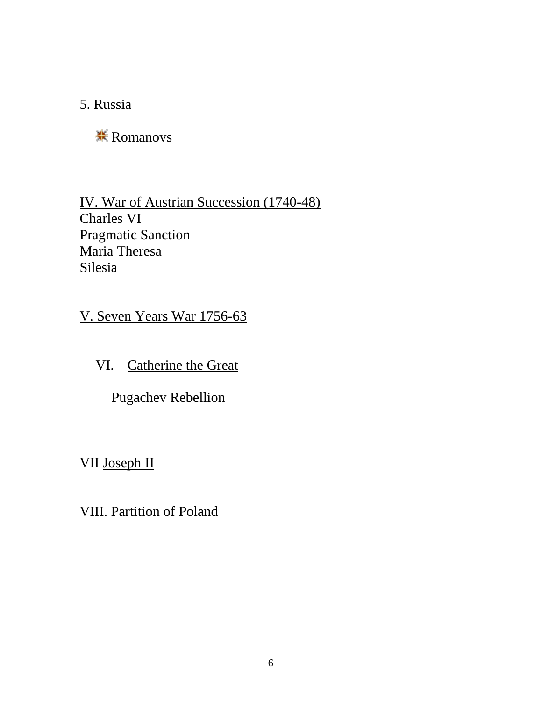5. Russia

**<del></del>Romanovs** 

IV. War of Austrian Succession (1740-48) Charles VI Pragmatic Sanction Maria Theresa Silesia

V. Seven Years War 1756-63

VI. Catherine the Great

Pugachev Rebellion

VII Joseph II

VIII. Partition of Poland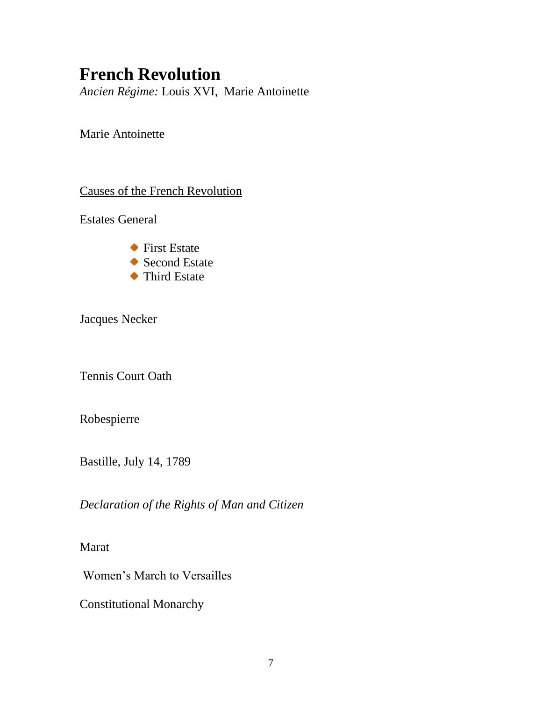# **French Revolution**

*Ancien Régime:* Louis XVI, Marie Antoinette

Marie Antoinette

Causes of the French Revolution

Estates General

◆ First Estate ◆ Second Estate ◆ Third Estate

Jacques Necker

Tennis Court Oath

Robespierre

Bastille, July 14, 1789

*Declaration of the Rights of Man and Citizen*

Marat

Women's March to Versailles

Constitutional Monarchy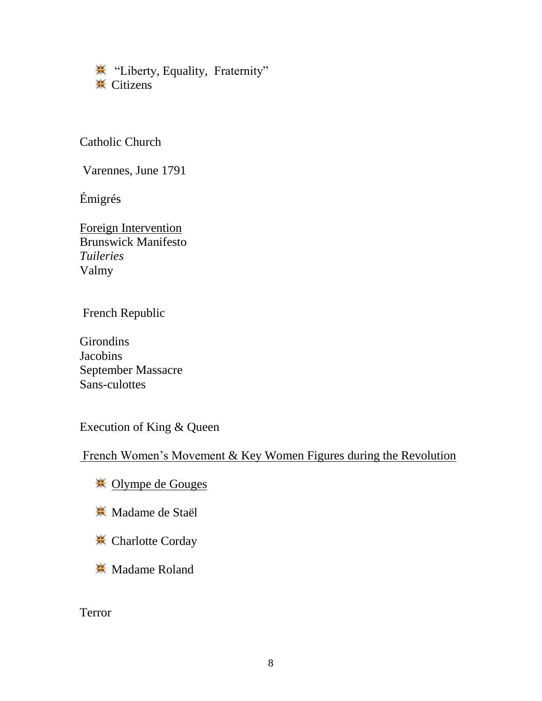**\*\*** "Liberty, Equality, Fraternity" **<del></u>** Citizens</del>

Catholic Church

Varennes, June 1791

Émigrés

Foreign Intervention Brunswick Manifesto *Tuileries*  Valmy

French Republic

**Girondins** Jacobins September Massacre Sans-culottes

Execution of King & Queen

French Women's Movement & Key Women Figures during the Revolution

- <u> <del>≫</del> Olympe de Gouges</u>
- **W** Madame de Staël
- **<del></del> Charlotte Corday**
- **<del>.</del>** Madame Roland

Terror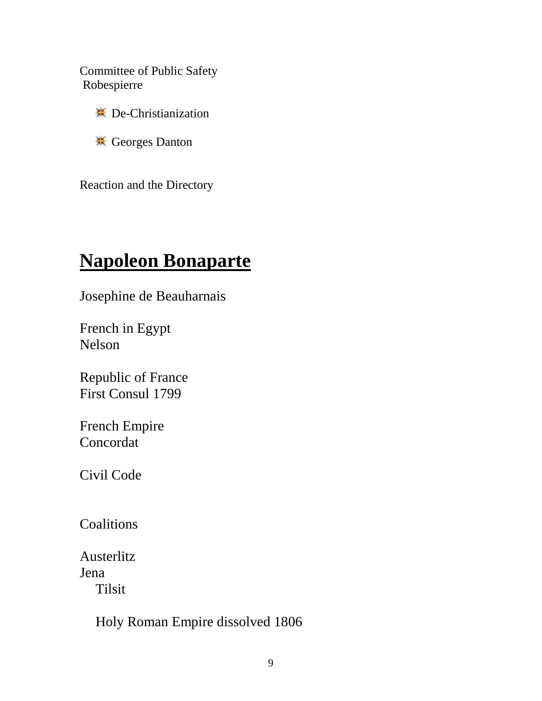Committee of Public Safety Robespierre

- $\frac{1}{2}$  **De-Christianization**
- Georges Danton

Reaction and the Directory

# **Napoleon Bonaparte**

Josephine de Beauharnais

French in Egypt Nelson

Republic of France First Consul 1799

French Empire Concordat

Civil Code

**Coalitions** 

Austerlitz Jena Tilsit

Holy Roman Empire dissolved 1806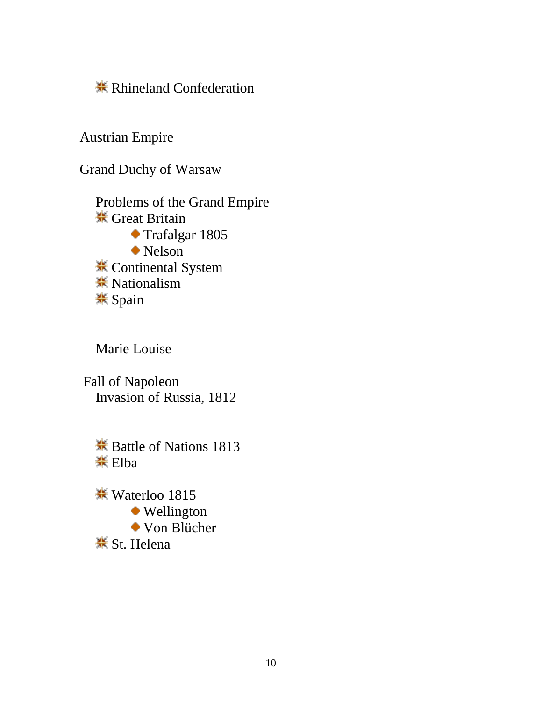**<del></del> K** Rhineland Confederation

Austrian Empire

Grand Duchy of Warsaw

Problems of the Grand Empire **米 Great Britain** Trafalgar 1805 Nelson **<del></del>** Continental System **<del></del>** Nationalism **<del></del>** Spain

Marie Louise

Fall of Napoleon Invasion of Russia, 1812

**<del></del>** Battle of Nations 1813 **\*** Elba

Waterloo 1815 Wellington Von Blücher **<del></del>** St. Helena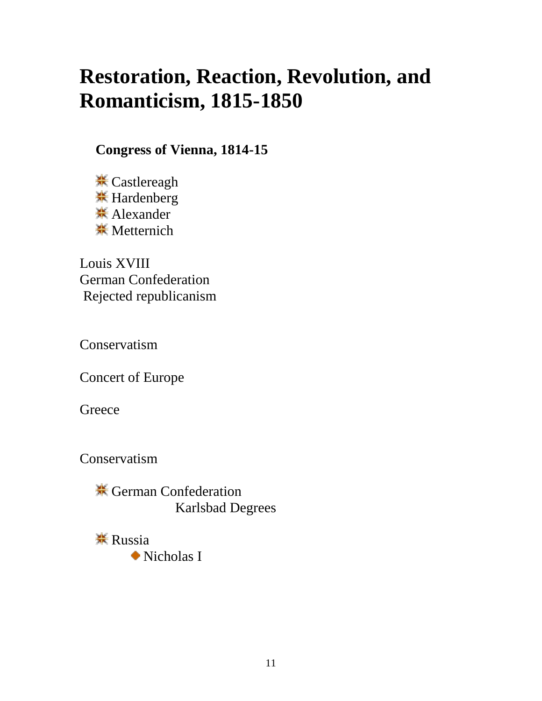# **Restoration, Reaction, Revolution, and Romanticism, 1815-1850**

**Congress of Vienna, 1814-15** 

**<del></del>** Castlereagh  $\frac{H}{H}$  Hardenberg **<del></del>**★ Alexander **<del></del>**<del></sub> Metternich</del>

Louis XVIII German Confederation Rejected republicanism

Conservatism

Concert of Europe

**Greece** 

Conservatism

**<del></del>** German Confederation Karlsbad Degrees

 $\frac{1}{2}$  Russia Nicholas I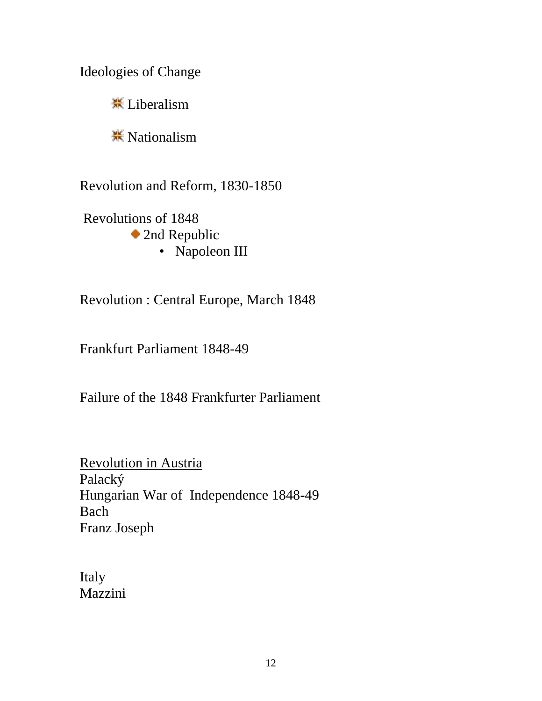Ideologies of Change

<del></del> Liberalism

 $\frac{1}{25}$  Nationalism

Revolution and Reform, 1830-1850

Revolutions of 1848 ◆ 2nd Republic • Napoleon III

Revolution : Central Europe, March 1848

Frankfurt Parliament 1848-49

Failure of the 1848 Frankfurter Parliament

Revolution in Austria Palacký Hungarian War of Independence 1848-49 Bach Franz Joseph

Italy Mazzini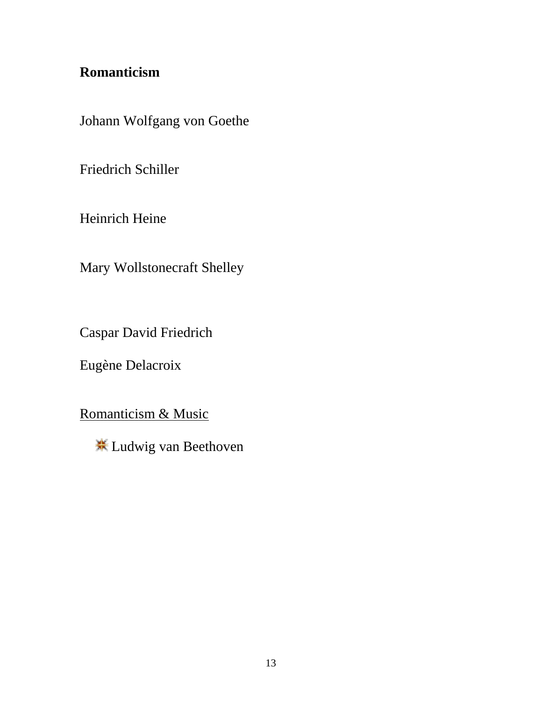## **Romanticism**

Johann Wolfgang von Goethe

Friedrich Schiller

Heinrich Heine

Mary Wollstonecraft Shelley

Caspar David Friedrich

Eugène Delacroix

Romanticism & Music

Ludwig van Beethoven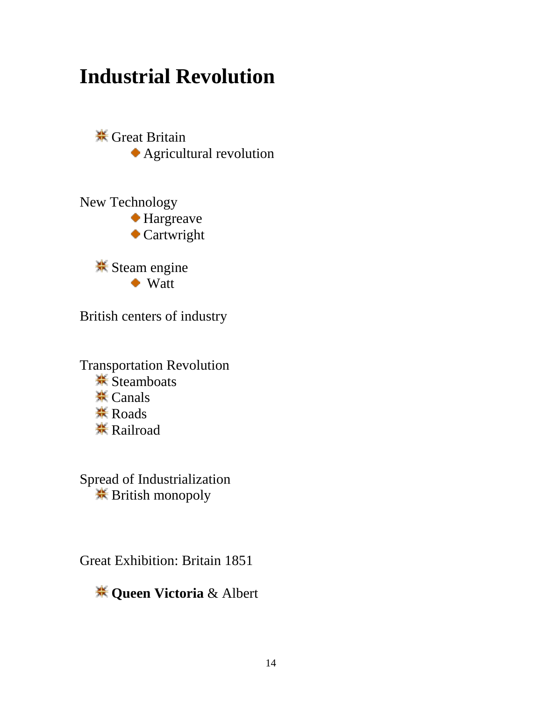# **Industrial Revolution**

 $\frac{1}{25}$  Great Britain Agricultural revolution

New Technology Hargreave Cartwright

> **<del></del>** Steam engine ◆ Watt

British centers of industry

Transportation Revolution **<del></del>** Steamboats **<del></del>** Canals **<del></del>** Roads **<del></del>Railroad** 

Spread of Industrialization British monopoly

Great Exhibition: Britain 1851

**Queen Victoria** & Albert